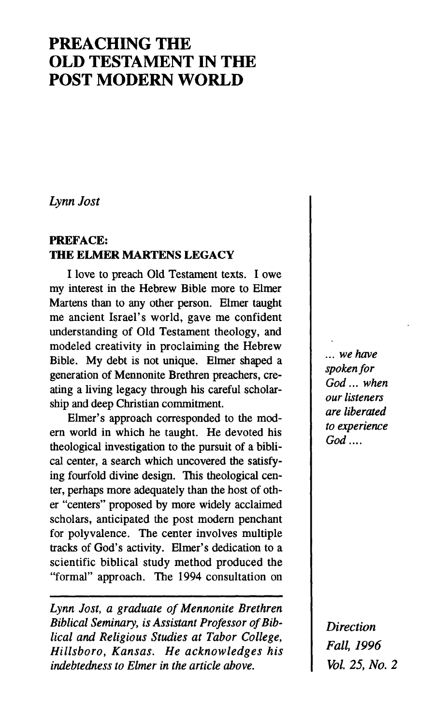# **PREACHING THE OLD TESTAMENT IN THE POST MODERN WORLD**

*Lynn Jost* 

# **PREFACE: THE ELMER MARTENS LEGACY**

I love to preach Old Testament texts. I owe my interest in the Hebrew Bible more to Elmer Martens than to any other person. Elmer taught me ancient Israel's world, gave me confident understanding of Old Testament theology, and modeled creativity in proclaiming the Hebrew Bible. My debt is not unique. Elmer shaped a generation of Mennonite Brethren preachers, creating a living legacy through his careful scholarship and deep Christian commitment.

Elmer's approach corresponded to the modern world in which he taught. He devoted his theological investigation to the pursuit of a biblical center, a search which uncovered the satisfying fourfold divine design. This theological center, perhaps more adequately than the host of other "centers" proposed by more widely acclaimed scholars, anticipated the post modern penchant for polyvalence. The center involves multiple tracks of God's activity. Elmer's dedication to a scientific biblical study method produced the "formal" approach. The 1994 consultation on

*Lynn Jost, a graduate of Mennonite Brethren Biblical Seminary, is Assistant Professor of Biblical and Religious Studies at Tabor College, Hillsboro, Kansas, He acknowledges his indebtedness to Elmer in the article above.* 

*... we have spokenfor God... when our listeners are liberated to experience God....* 

*Direction Fall, 1996 Vol 25, No. 2*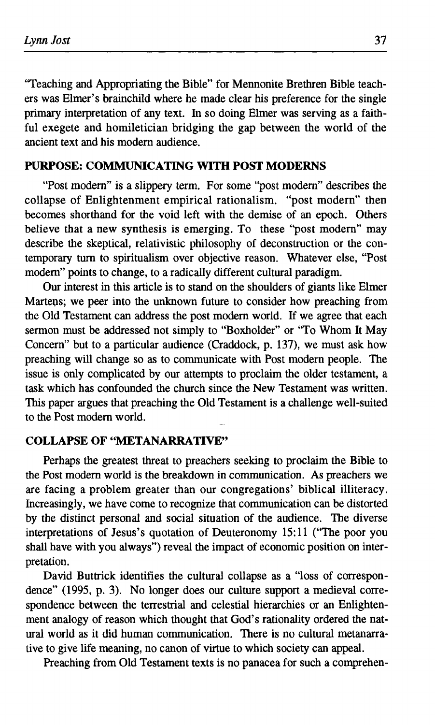"Teaching and Appropriating the Bible" for Mennonite Brethren Bible teachers was Elmer's brainchild where he made clear his preference for the single primary interpretation of any text. In so doing Elmer was serving as a faithful exegete and homiletician bridging the gap between the world of the ancient text and his modern audience.

# **PURPOSE: COMMUNICATING WITH POST MODERNS**

"Post modern" is a slippery term. For some "post modern" describes the collapse of Enlightenment empirical rationalism, "post modern" then becomes shorthand for the void left with the demise of an epoch. Others believe that a new synthesis is emerging. To these "post modern" may describe the skeptical, relativistic philosophy of deconstruction or the contemporary turn to spiritualism over objective reason. Whatever else, "Post modem" points to change, to a radically different cultural paradigm.

Our interest in this article is to stand on the shoulders of giants like Elmer Martens; we peer into the unknown future to consider how preaching from the Old Testament can address the post modern world. If we agree that each sermon must be addressed not simply to "Boxholder" or "To Whom It May Concern" but to a particular audience (Craddock, p. 137), we must ask how preaching will change so as to communicate with Post modern people. The issue is only complicated by our attempts to proclaim the older testament, a task which has confounded the church since the New Testament was written. This paper argues that preaching the Old Testament is a challenge well-suited to the Post modem world.

## **COLLAPSE OF "METANARRATIVE"**

Perhaps the greatest threat to preachers seeking to proclaim the Bible to the Post modern world is the breakdown in communication. As preachers we are facing a problem greater than our congregations' biblical illiteracy. Increasingly, we have come to recognize that communication can be distorted by the distinct personal and social situation of the audience. The diverse interpretations of Jesus's quotation of Deuteronomy 15:11 ("The poor you shall have with you always") reveal the impact of economic position on interpretation.

David Buttrick identifies the cultural collapse as a "loss of correspondence" (1995, p. 3). No longer does our culture support a medieval correspondence between the terrestrial and celestial hierarchies or an Enlightenment analogy of reason which thought that God's rationality ordered the natural world as it did human communication. There is no cultural metanarrative to give life meaning, no canon of virtue to which society can appeal.

Preaching from Old Testament texts is no panacea for such a comprehen-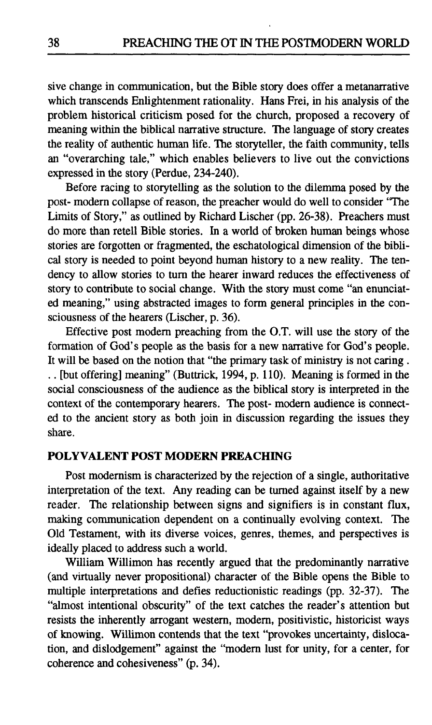sive change in communication, but the Bible story does offer a metanarrative which transcends Enlightenment rationality. Hans Frei, in his analysis of the problem historical criticism posed for the church, proposed a recovery of meaning within the biblical narrative structure. The language of story creates the reality of authentic human life. The storyteller, the faith community, tells an "overarching tale," which enables believers to live out the convictions expressed in the story (Perdue, 234-240).

Before racing to storytelling as the solution to the dilemma posed by the post- modern collapse of reason, the preacher would do well to consider "The Limits of Story," as outlined by Richard Lischer (pp. 26-38). Preachers must do more than retell Bible stories. In a world of broken human beings whose stories are forgotten or fragmented, the eschatological dimension of the biblical story is needed to point beyond human history to a new reality. The tendency to allow stories to turn the hearer inward reduces the effectiveness of story to contribute to social change. With the story must come "an enunciated meaning," using abstracted images to form general principles in the consciousness of the hearers (Lischer, p. 36).

Effective post modem preaching from the O.T. will use the story of the formation of God's people as the basis for a new narrative for God's people. It will be based on the notion that "the primary task of ministry is not caring . .. [but offering] meaning" (Buttrick, 1994, p. 110). Meaning is formed in the social consciousness of the audience as the biblical story is interpreted in the context of the contemporary hearers. The post- modern audience is connected to the ancient story as both join in discussion regarding the issues they share.

#### **POLYVALENT POST MODERN PREACHING**

Post modernism is characterized by the rejection of a single, authoritative interpretation of the text. Any reading can be turned against itself by a new reader. The relationship between signs and signifiers is in constant flux, making communication dependent on a continually evolving context. The Old Testament, with its diverse voices, genres, themes, and perspectives is ideally placed to address such a world.

William Willimon has recently argued that the predominantly narrative (and virtually never propositional) character of the Bible opens the Bible to multiple interpretations and defies reductionistic readings (pp. 32-37). The "almost intentional obscurity" of the text catches the reader's attention but resists the inherently arrogant western, modern, positivistic, historicist ways of knowing. Willimon contends that the text "provokes uncertainty, dislocation, and dislodgement" against the "modem lust for unity, for a center, for coherence and cohesiveness" (p. 34).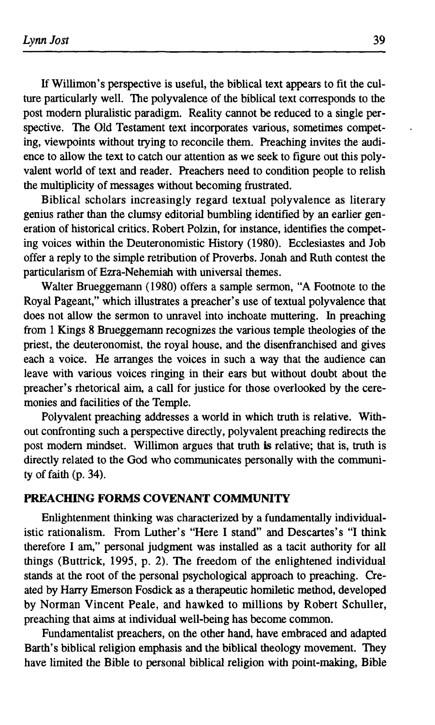If Willimon's perspective is useful, the biblical text appears to fit the culture particularly well. The polyvalence of the biblical text corresponds to the post modern pluralistic paradigm. Reality cannot be reduced to a single perspective. The Old Testament text incorporates various, sometimes competing, viewpoints without trying to reconcile them. Preaching invites the audience to allow the text to catch our attention as we seek to figure out this polyvalent world of text and reader. Preachers need to condition people to relish the multiplicity of messages without becoming frustrated.

Biblical scholars increasingly regard textual polyvalence as literary genius rather than the clumsy editorial bumbling identified by an earlier generation of historical critics. Robert Polzin, for instance, identifies the competing voices within the Deuteronomistic History (1980). Ecclesiastes and Job offer a reply to the simple retribution of Proverbs. Jonah and Ruth contest the particularism of Ezra-Nehemiah with universal themes.

Walter Brueggemann (1980) offers a sample sermon, "A Footnote to the Royal Pageant," which illustrates a preacher's use of textual polyvalence that does not allow the sermon to unravel into inchoate muttering. In preaching from 1 Kings 8 Brueggemann recognizes the various temple theologies of the priest, the deuteronomist, the royal house, and the disenfranchised and gives each a voice. He arranges the voices in such a way that the audience can leave with various voices ringing in their ears but without doubt about the preacher's rhetorical aim, a call for justice for those overlooked by the ceremonies and facilities of the Temple.

Polyvalent preaching addresses a world in which truth is relative. Without confronting such a perspective directly, polyvalent preaching redirects the post modem mindset. Willimon argues that truth is relative; that is, truth is directly related to the God who communicates personally with the community of faith (p. 34).

# **PREACHING FORMS COVENANT COMMUNITY**

Enlightenment thinking was characterized by a fundamentally individualistic rationalism. From Luther's "Here I stand" and Descartes's "I think therefore I am," personal judgment was installed as a tacit authority for all things (Buttrick, 1995, p. 2). The freedom of the enlightened individual stands at the root of the personal psychological approach to preaching. Created by Harry Emerson Fosdick as a therapeutic homiletic method, developed by Norman Vincent Peale, and hawked to millions by Robert Schuller, preaching that aims at individual well-being has become common.

Fundamentalist preachers, on the other hand, have embraced and adapted Barth's biblical religion emphasis and the biblical theology movement. They have limited the Bible to personal biblical religion with point-making, Bible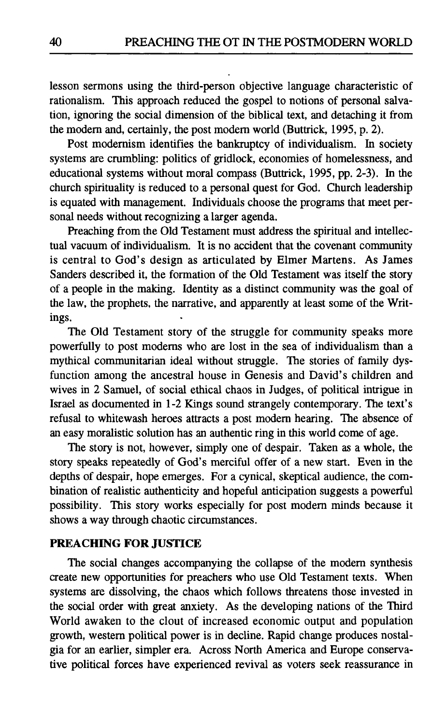lesson sermons using the third-person objective language characteristic of rationalism. This approach reduced the gospel to notions of personal salvation, ignoring the social dimension of the biblical text, and detaching it from the modem and, certainly, the post modem world (Buttrick, 1995, p. 2).

Post modernism identifies the bankruptcy of individualism. In society systems are crumbling: politics of gridlock, economies of homelessness, and educational systems without moral compass (Buttrick, 1995, pp. 2-3). In the church spirituality is reduced to a personal quest for God. Church leadership is equated with management. Individuals choose the programs that meet personal needs without recognizing a larger agenda.

Preaching from the Old Testament must address the spiritual and intellectual vacuum of individualism. It is no accident that the covenant community is central to God's design as articulated by Elmer Martens. As James Sanders described it, the formation of the Old Testament was itself the story of a people in the making. Identity as a distinct community was the goal of the law, the prophets, the narrative, and apparently at least some of the Writings.

The Old Testament story of the struggle for community speaks more powerfully to post modems who are lost in the sea of individualism than a mythical communitarian ideal without struggle. The stories of family dysfunction among the ancestral house in Genesis and David's children and wives in 2 Samuel, of social ethical chaos in Judges, of political intrigue in Israel as documented in 1-2 Kings sound strangely contemporary. The text's refusal to whitewash heroes attracts a post modem hearing. The absence of an easy moralistic solution has an authentic ring in this world come of age.

The story is not, however, simply one of despair. Taken as a whole, the story speaks repeatedly of God's merciful offer of a new start. Even in the depths of despair, hope emerges. For a cynical, skeptical audience, the combination of realistic authenticity and hopeful anticipation suggests a powerful possibility. This story works especially for post modem minds because it shows a way through chaotic circumstances.

#### **PREACHING FOR JUSTICE**

The social changes accompanying the collapse of the modem synthesis create new opportunities for preachers who use Old Testament texts. When systems are dissolving, the chaos which follows threatens those invested in the social order with great anxiety. As the developing nations of the Third World awaken to the clout of increased economic output and population growth, western political power is in decline. Rapid change produces nostalgia for an earlier, simpler era. Across North America and Europe conservative political forces have experienced revival as voters seek reassurance in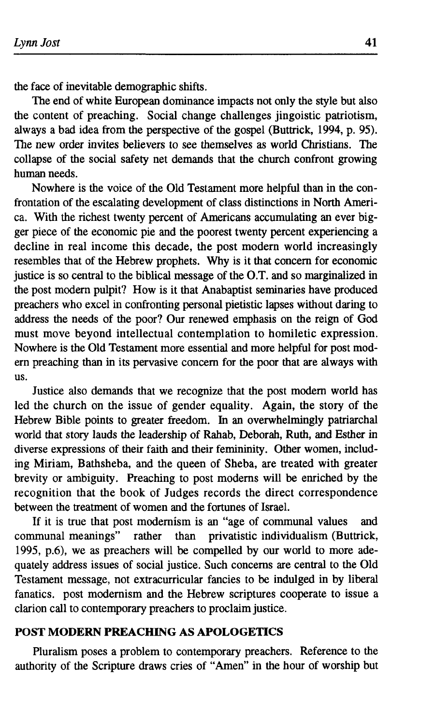the face of inevitable demographic shifts.

The end of white European dominance impacts not only the style but also the content of preaching. Social change challenges jingoistic patriotism, always a bad idea from the perspective of the gospel (Buttrick, 1994, p. 95). The new order invites believers to see themselves as world Christians. The collapse of the social safety net demands that the church confront growing human needs.

Nowhere is the voice of the Old Testament more helpful than in the confrontation of the escalating development of class distinctions in North America. With the richest twenty percent of Americans accumulating an ever bigger piece of the economic pie and the poorest twenty percent experiencing a decline in real income this decade, the post modern world increasingly resembles that of the Hebrew prophets. Why is it that concern for economic justice is so central to the biblical message of the O.T. and so marginalized in the post modern pulpit? How is it that Anabaptist seminaries have produced preachers who excel in confronting personal pietistic lapses without daring to address the needs of the poor? Our renewed emphasis on the reign of God must move beyond intellectual contemplation to homiletic expression. Nowhere is the Old Testament more essential and more helpful for post modern preaching than in its pervasive concern for the poor that are always with us.

Justice also demands that we recognize that the post modem world has led the church on the issue of gender equality. Again, the story of the Hebrew Bible points to greater freedom. In an overwhelmingly patriarchal world that story lauds the leadership of Rahab, Deborah, Ruth, and Esther in diverse expressions of their faith and their femininity. Other women, including Miriam, Bathsheba, and the queen of Sheba, are treated with greater brevity or ambiguity. Preaching to post moderns will be enriched by the recognition that the book of Judges records the direct correspondence between the treatment of women and the fortunes of Israel.

If it is true that post modernism is an "age of communal values and communal meanings" rather than privatistic individualism (Buttrick, 1995, p.6), we as preachers will be compelled by our world to more adequately address issues of social justice. Such concerns are central to the Old Testament message, not extracurricular fancies to be indulged in by liberal fanatics, post modernism and the Hebrew scriptures cooperate to issue a clarion call to contemporary preachers to proclaim justice.

# **POST MODERN PREACHING AS APOLOGETICS**

Pluralism poses a problem to contemporary preachers. Reference to the authority of the Scripture draws cries of "Amen" in the hour of worship but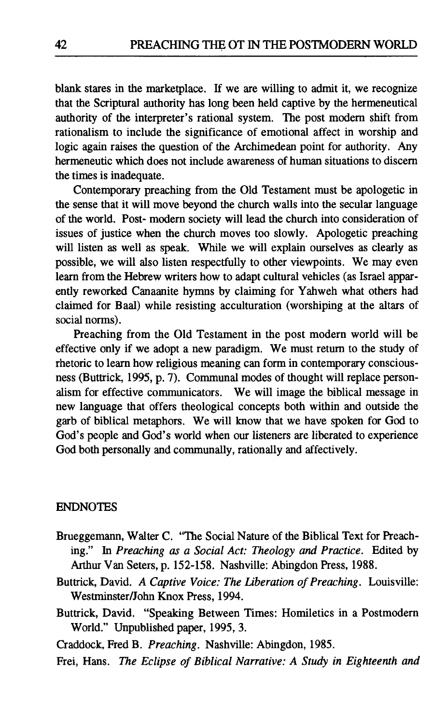blank stares in the marketplace. If we are willing to admit it, we recognize that the Scriptural authority has long been held captive by the hermeneutical authority of the interpreter's rational system. The post modem shift from rationalism to include the significance of emotional affect in worship and logic again raises the question of the Archimedean point for authority. Any hermeneutic which does not include awareness of human situations to discern the times is inadequate.

Contemporary preaching from the Old Testament must be apologetic in the sense that it will move beyond the church walls into the secular language of the world. Post- modern society will lead the church into consideration of issues of justice when the church moves too slowly. Apologetic preaching will listen as well as speak. While we will explain ourselves as clearly as possible, we will also listen respectfully to other viewpoints. We may even learn from the Hebrew writers how to adapt cultural vehicles (as Israel apparently reworked Canaanite hymns by claiming for Yahweh what others had claimed for Baal) while resisting acculturation (worshiping at the altars of social norms).

Preaching from the Old Testament in the post modern world will be effective only if we adopt a new paradigm. We must return to the study of rhetoric to learn how religious meaning can form in contemporary consciousness (Buttrick, 1995, p. 7). Communal modes of thought will replace personalism for effective communicators. We will image the biblical message in new language that offers theological concepts both within and outside the garb of biblical metaphors. We will know that we have spoken for God to God's people and God's world when our listeners are liberated to experience God both personally and communally, rationally and affectively.

# ENDNOTES

- Brueggemann, Walter C. "The Social Nature of the Biblical Text for Preaching." In *Preaching as a Social Act: Theology and Practice.* Edited by Arthur Van Seters, p. 152-158. Nashville: Abingdon Press, 1988.
- Buttrick, David. *A Captive Voice: The Liberation of Preaching.* Louisville: Westminster/John Knox Press, 1994.
- Buttrick, David. "Speaking Between Times: Homiletics in a Postmodern World." Unpublished paper, 1995, 3.
- Craddock, Fred Β. *Preaching.* Nashville: Abingdon, 1985.
- Frei, Hans. *The Eclipse of Biblical Narrative: A Study in Eighteenth and*